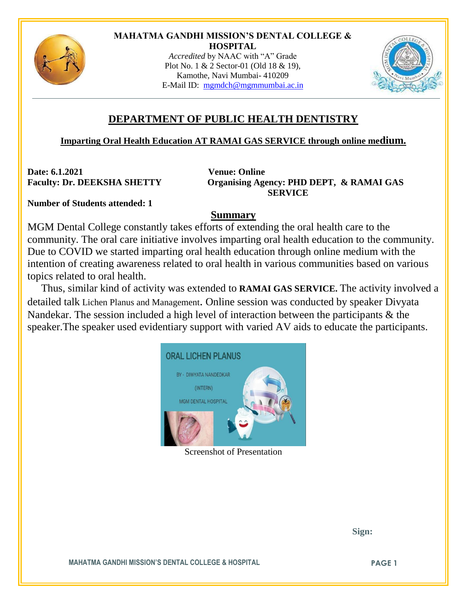

## **MAHATMA GANDHI MISSION'S DENTAL COLLEGE & HOSPITAL**

*Accredited* by NAAC with "A" Grade Plot No. 1 & 2 Sector-01 (Old 18 & 19), Kamothe, Navi Mumbai- 410209 E-Mail ID: [mgmdch@mgmmumbai.ac.in](mailto:mgmdch@mgmmumbai.ac.in)



## **DEPARTMENT OF PUBLIC HEALTH DENTISTRY**

## **Imparting Oral Health Education AT RAMAI GAS SERVICE through online medium.**

**Date: 6.1.2021 Venue: Online**

**Faculty: Dr. DEEKSHA SHETTY Organising Agency: PHD DEPT, & RAMAI GAS SERVICE**

**Number of Students attended: 1**

## **Summary**

MGM Dental College constantly takes efforts of extending the oral health care to the community. The oral care initiative involves imparting oral health education to the community. Due to COVID we started imparting oral health education through online medium with the intention of creating awareness related to oral health in various communities based on various topics related to oral health.

Thus, similar kind of activity was extended to **RAMAI GAS SERVICE.** The activity involved a detailed talk Lichen Planus and Management. Online session was conducted by speaker Divyata Nandekar. The session included a high level of interaction between the participants & the speaker.The speaker used evidentiary support with varied AV aids to educate the participants.



Screenshot of Presentation

 **Sign:**

**MAHATMA GANDHI MISSION'S DENTAL COLLEGE & HOSPITAL PAGE 1**